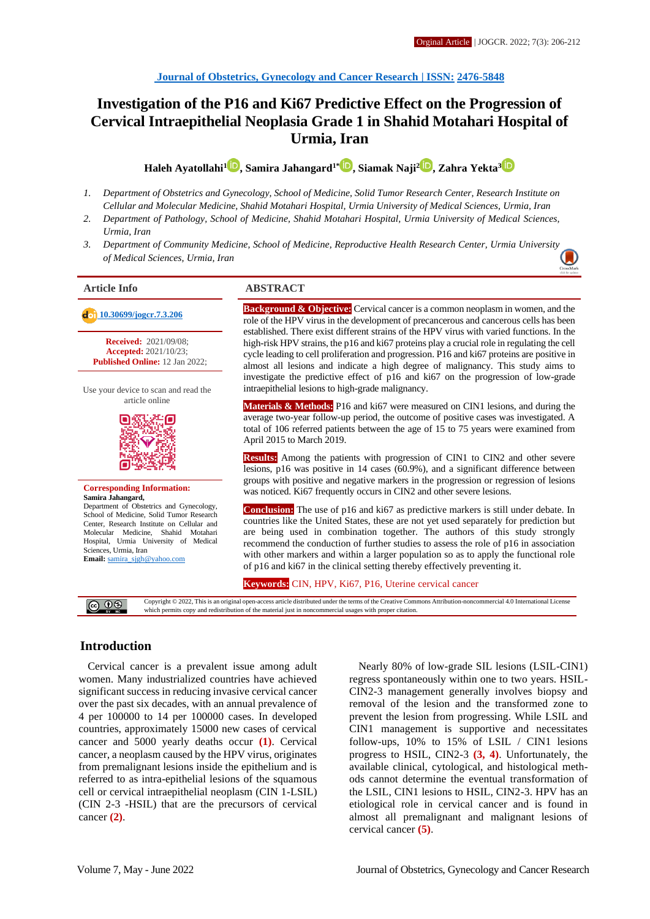# **Investigation of the P16 and Ki67 Predictive Effect on the Progression of Cervical Intraepithelial Neoplasia Grade 1 in Shahid Motahari Hospital of Urmia, Iran**

**Haleh Ayatollahi<sup>1</sup> [,](http://orcid.org/0000-0002-1726-8594) Samira Jahangard1[\\*](http://orcid.org/0000-0002-9530-8141) , Siamak Naji[2](http://orcid.org/0000-0001-5720-8636) , Zahra Yekta[3](http://orcid.org/0000-0003-3203-1082)**

- *1. Department of Obstetrics and Gynecology, School of Medicine, Solid Tumor Research Center, Research Institute on Cellular and Molecular Medicine, Shahid Motahari Hospital, Urmia University of Medical Sciences, Urmia, Iran*
- *2. Department of Pathology, School of Medicine, Shahid Motahari Hospital, Urmia University of Medical Sciences, Urmia, Iran*
- *3. Department of Community Medicine, School of Medicine, Reproductive Health Research Center, Urmia Universit[y](https://crossmark.crossref.org/dialog/?doi=10.30699/jogcr.7.3.206)  of Medical Sciences, Urmia, Iran*

 **[10.30699/jogcr.7.3.206](http://dx.doi.org/10.30699/jogcr.7.3.206) Received:** 2021/09/08; **Accepted:** 2021/10/23; **Published Online:** 12 Jan 2022;

Use your device to scan and read the article online



**Corresponding Information: Samira Jahangard,** Department of Obstetrics and Gynecology, School of Medicine, Solid Tumor Research Center, Research Institute on Cellular and

Molecular Medicine, Shahid Motahari Hospital, Urmia University of Medical Sciences, Urmia, Iran **Email:** [samira\\_sjgh@yahoo.com](mailto:samira_sjgh@yahoo.com)

### **Article Info ABSTRACT**

**Background & Objective:** Cervical cancer is a common neoplasm in women, and the role of the HPV virus in the development of precancerous and cancerous cells has been established. There exist different strains of the HPV virus with varied functions. In the high-risk HPV strains, the p16 and ki67 proteins play a crucial role in regulating the cell cycle leading to cell proliferation and progression. P16 and ki67 proteins are positive in almost all lesions and indicate a high degree of malignancy. This study aims to investigate the predictive effect of p16 and ki67 on the progression of low-grade intraepithelial lesions to high-grade malignancy.

**Materials & Methods:** P16 and ki67 were measured on CIN1 lesions, and during the average two-year follow-up period, the outcome of positive cases was investigated. A total of 106 referred patients between the age of 15 to 75 years were examined from April 2015 to March 2019.

**Results:** Among the patients with progression of CIN1 to CIN2 and other severe lesions, p16 was positive in 14 cases (60.9%), and a significant difference between groups with positive and negative markers in the progression or regression of lesions was noticed. Ki67 frequently occurs in CIN2 and other severe lesions.

**Conclusion:** The use of p16 and ki67 as predictive markers is still under debate. In countries like the United States, these are not yet used separately for prediction but are being used in combination together. The authors of this study strongly recommend the conduction of further studies to assess the role of p16 in association with other markers and within a larger population so as to apply the functional role of p16 and ki67 in the clinical setting thereby effectively preventing it.

**Keywords:** CIN, HPV, Ki67, P16, Uterine cervical cancer

Copyright © 2022, This is an original open-access article distributed under the terms of the Creative Commons Attribution-noncommercial 4.0 International License **@** 00 which permits copy and redistribution of the material just in noncommercial usages with proper citation.

## **Introduction**

Cervical cancer is a prevalent issue among adult women. Many industrialized countries have achieved significant success in reducing invasive cervical cancer over the past six decades, with an annual prevalence of 4 per 100000 to 14 per 100000 cases. In developed countries, approximately 15000 new cases of cervical cancer and 5000 yearly deaths occur **(1)**. Cervical cancer, a neoplasm caused by the HPV virus, originates from premalignant lesions inside the epithelium and is referred to as intra-epithelial lesions of the squamous cell or cervical intraepithelial neoplasm (CIN 1-LSIL) (CIN 2-3 -HSIL) that are the precursors of cervical cancer **(2)**.

Nearly 80% of low-grade SIL lesions (LSIL-CIN1) regress spontaneously within one to two years. HSIL-CIN2-3 management generally involves biopsy and removal of the lesion and the transformed zone to prevent the lesion from progressing. While LSIL and CIN1 management is supportive and necessitates follow-ups, 10% to 15% of LSIL / CIN1 lesions progress to HSIL, CIN2-3 **(3, 4)**. Unfortunately, the available clinical, cytological, and histological methods cannot determine the eventual transformation of the LSIL, CIN1 lesions to HSIL, CIN2-3. HPV has an etiological role in cervical cancer and is found in almost all premalignant and malignant lesions of cervical cancer **(5)**.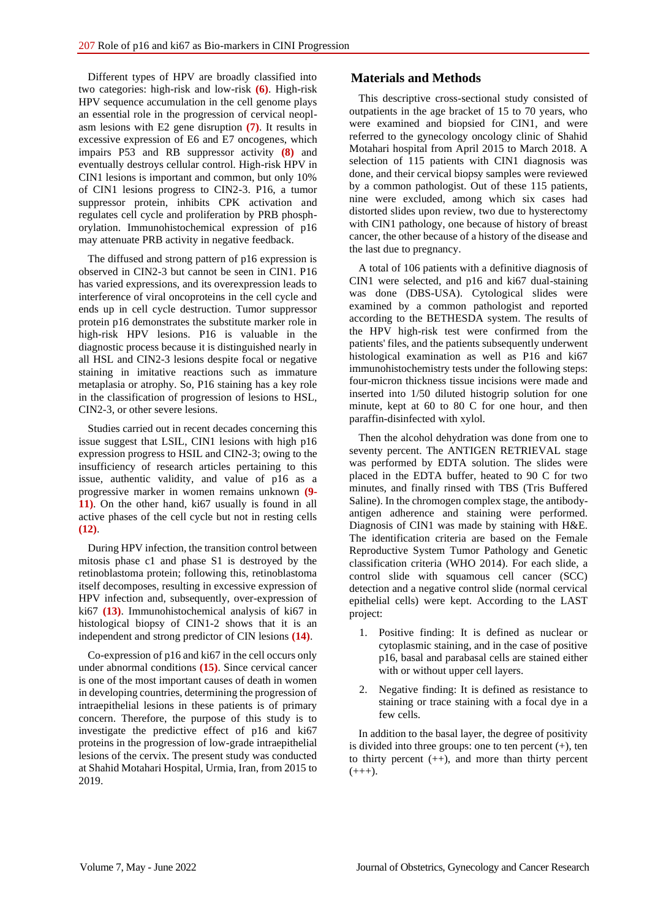Different types of HPV are broadly classified into two categories: high-risk and low-risk **(6)**. High-risk HPV sequence accumulation in the cell genome plays an essential role in the progression of cervical neoplasm lesions with E2 gene disruption **(7)**. It results in excessive expression of E6 and E7 oncogenes, which impairs P53 and RB suppressor activity **(8)** and eventually destroys cellular control. High-risk HPV in CIN1 lesions is important and common, but only 10% of CIN1 lesions progress to CIN2-3. P16, a tumor suppressor protein, inhibits CPK activation and regulates cell cycle and proliferation by PRB phosphorylation. Immunohistochemical expression of p16 may attenuate PRB activity in negative feedback.

The diffused and strong pattern of p16 expression is observed in CIN2-3 but cannot be seen in CIN1. P16 has varied expressions, and its overexpression leads to interference of viral oncoproteins in the cell cycle and ends up in cell cycle destruction. Tumor suppressor protein p16 demonstrates the substitute marker role in high-risk HPV lesions. P16 is valuable in the diagnostic process because it is distinguished nearly in all HSL and CIN2-3 lesions despite focal or negative staining in imitative reactions such as immature metaplasia or atrophy. So, P16 staining has a key role in the classification of progression of lesions to HSL, CIN2-3, or other severe lesions.

Studies carried out in recent decades concerning this issue suggest that LSIL, CIN1 lesions with high p16 expression progress to HSIL and CIN2-3; owing to the insufficiency of research articles pertaining to this issue, authentic validity, and value of p16 as a progressive marker in women remains unknown **(9- 11)**. On the other hand, ki67 usually is found in all active phases of the cell cycle but not in resting cells **(12)**.

During HPV infection, the transition control between mitosis phase c1 and phase S1 is destroyed by the retinoblastoma protein; following this, retinoblastoma itself decomposes, resulting in excessive expression of HPV infection and, subsequently, over-expression of ki67 **(13)**. Immunohistochemical analysis of ki67 in histological biopsy of CIN1-2 shows that it is an independent and strong predictor of CIN lesions **(14)**.

Co-expression of p16 and ki67 in the cell occurs only under abnormal conditions **(15)**. Since cervical cancer is one of the most important causes of death in women in developing countries, determining the progression of intraepithelial lesions in these patients is of primary concern. Therefore, the purpose of this study is to investigate the predictive effect of p16 and ki67 proteins in the progression of low-grade intraepithelial lesions of the cervix. The present study was conducted at Shahid Motahari Hospital, Urmia, Iran, from 2015 to 2019.

## **Materials and Methods**

This descriptive cross-sectional study consisted of outpatients in the age bracket of 15 to 70 years, who were examined and biopsied for CIN1, and were referred to the gynecology oncology clinic of Shahid Motahari hospital from April 2015 to March 2018. A selection of 115 patients with CIN1 diagnosis was done, and their cervical biopsy samples were reviewed by a common pathologist. Out of these 115 patients, nine were excluded, among which six cases had distorted slides upon review, two due to hysterectomy with CIN1 pathology, one because of history of breast cancer, the other because of a history of the disease and the last due to pregnancy.

A total of 106 patients with a definitive diagnosis of CIN1 were selected, and p16 and ki67 dual-staining was done (DBS-USA). Cytological slides were examined by a common pathologist and reported according to the BETHESDA system. The results of the HPV high-risk test were confirmed from the patients' files, and the patients subsequently underwent histological examination as well as P16 and ki67 immunohistochemistry tests under the following steps: four-micron thickness tissue incisions were made and inserted into 1/50 diluted histogrip solution for one minute, kept at 60 to 80 C for one hour, and then paraffin-disinfected with xylol.

Then the alcohol dehydration was done from one to seventy percent. The ANTIGEN RETRIEVAL stage was performed by EDTA solution. The slides were placed in the EDTA buffer, heated to 90 C for two minutes, and finally rinsed with TBS (Tris Buffered Saline). In the chromogen complex stage, the antibodyantigen adherence and staining were performed. Diagnosis of CIN1 was made by staining with H&E. The identification criteria are based on the Female Reproductive System Tumor Pathology and Genetic classification criteria (WHO 2014). For each slide, a control slide with squamous cell cancer (SCC) detection and a negative control slide (normal cervical epithelial cells) were kept. According to the LAST project:

- 1. Positive finding: It is defined as nuclear or cytoplasmic staining, and in the case of positive p16, basal and parabasal cells are stained either with or without upper cell layers.
- 2. Negative finding: It is defined as resistance to staining or trace staining with a focal dye in a few cells.

In addition to the basal layer, the degree of positivity is divided into three groups: one to ten percent  $(+)$ , ten to thirty percent  $(++)$ , and more than thirty percent  $(+++)$ .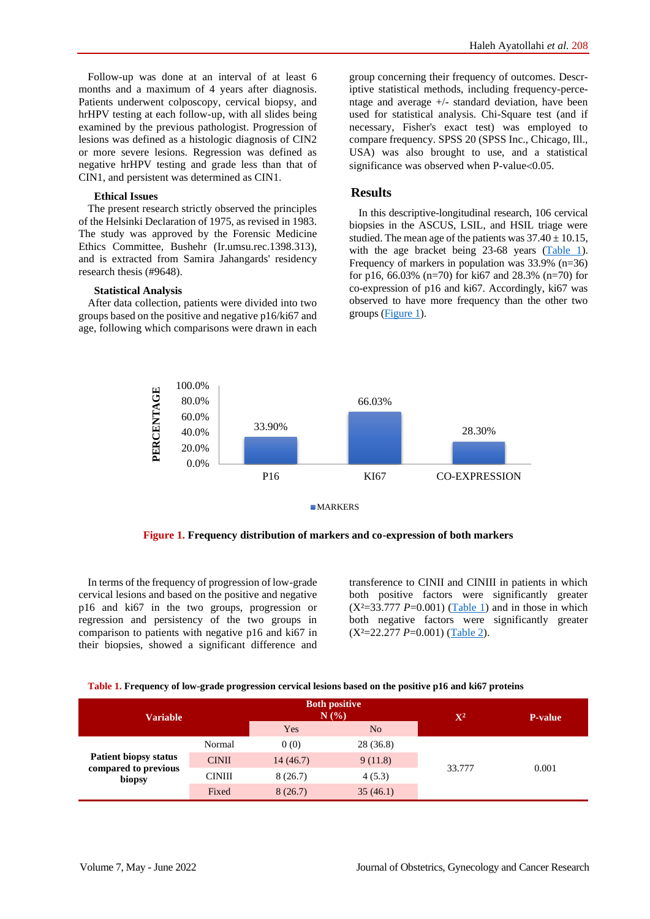Follow-up was done at an interval of at least 6 months and a maximum of 4 years after diagnosis. Patients underwent colposcopy, cervical biopsy, and hrHPV testing at each follow-up, with all slides being examined by the previous pathologist. Progression of lesions was defined as a histologic diagnosis of CIN2 or more severe lesions. Regression was defined as negative hrHPV testing and grade less than that of CIN1, and persistent was determined as CIN1.

### **Ethical Issues**

The present research strictly observed the principles of the Helsinki Declaration of 1975, as revised in 1983. The study was approved by the Forensic Medicine Ethics Committee, Bushehr (Ir.umsu.rec.1398.313), and is extracted from Samira Jahangards' residency research thesis (#9648).

### **Statistical Analysis**

After data collection, patients were divided into two groups based on the positive and negative p16/ki67 and age, following which comparisons were drawn in each group concerning their frequency of outcomes. Descriptive statistical methods, including frequency-percentage and average +/- standard deviation, have been used for statistical analysis. Chi-Square test (and if necessary, Fisher's exact test) was employed to compare frequency. SPSS 20 (SPSS Inc., Chicago, Ill., USA) was also brought to use, and a statistical significance was observed when  $P$ -value< $0.05$ .

### **Results**

In this descriptive-longitudinal research, 106 cervical biopsies in the ASCUS, LSIL, and HSIL triage were studied. The mean age of the patients was  $37.40 \pm 10.15$ , with the age bracket being 23-68 years [\(Table 1\)](#page-2-0). Frequency of markers in population was 33.9% (n=36) for p16, 66.03% (n=70) for ki67 and  $28.3\%$  (n=70) for co-expression of p16 and ki67. Accordingly, ki67 was observed to have more frequency than the other two groups [\(Figure 1\)](#page-2-1).



 **Figure 1. Frequency distribution of markers and co-expression of both markers**

<span id="page-2-1"></span>In terms of the frequency of progression of low-grade cervical lesions and based on the positive and negative p16 and ki67 in the two groups, progression or regression and persistency of the two groups in comparison to patients with negative p16 and ki67 in their biopsies, showed a significant difference and transference to CINII and CINIII in patients in which both positive factors were significantly greater  $(X^2=33.777 P=0.001)$  [\(Table 1\)](#page-2-0) and in those in which both negative factors were significantly greater (X²=22.277 *P*=0.001) [\(Table 2\)](#page-2-2).

<span id="page-2-0"></span>

<span id="page-2-2"></span>

| <b>Variable</b>                                                |               | <b>Both positive</b><br>N(%) |                | $\mathbf{X}^2$ | <b>P-value</b> |
|----------------------------------------------------------------|---------------|------------------------------|----------------|----------------|----------------|
|                                                                |               | Yes                          | N <sub>o</sub> |                |                |
| <b>Patient biopsy status</b><br>compared to previous<br>biopsy | Normal        | 0(0)                         | 28 (36.8)      | 33.777         |                |
|                                                                | <b>CINII</b>  | 14(46.7)                     | 9(11.8)        |                |                |
|                                                                | <b>CINIII</b> | 8(26.7)                      | 4(5.3)         |                | 0.001          |
|                                                                | Fixed         | 8(26.7)                      | 35(46.1)       |                |                |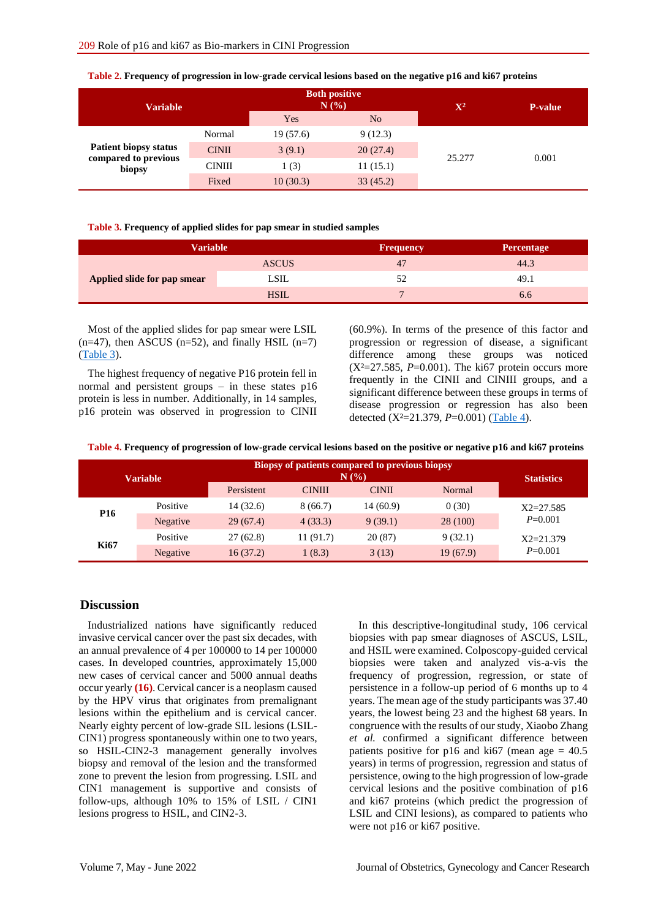| <b>Variable</b>                                                |               | <b>Both positive</b><br>N(%) |                | $\mathbf{X}^2$ | <b>P-value</b> |
|----------------------------------------------------------------|---------------|------------------------------|----------------|----------------|----------------|
|                                                                |               | Yes                          | N <sub>o</sub> |                |                |
| <b>Patient biopsy status</b><br>compared to previous<br>biopsy | Normal        | 19(57.6)                     | 9(12.3)        | 25.277         |                |
|                                                                | <b>CINII</b>  | 3(9.1)                       | 20(27.4)       |                | 0.001          |
|                                                                | <b>CINIII</b> | 1(3)                         | 11(15.1)       |                |                |
|                                                                | Fixed         | 10(30.3)                     | 33(45.2)       |                |                |

**Table 2. Frequency of progression in low-grade cervical lesions based on the negative p16 and ki67 proteins**

#### <span id="page-3-0"></span>**Table 3. Frequency of applied slides for pap smear in studied samples**

| <b>Variable</b>             |              | <b>Frequency</b> | <b>Percentage</b> |
|-----------------------------|--------------|------------------|-------------------|
|                             | <b>ASCUS</b> | 47               | 44.3              |
| Applied slide for pap smear | LSIL         | 52               | 49.1              |
|                             | <b>HSIL</b>  |                  | 6.6               |

Most of the applied slides for pap smear were LSIL  $(n=47)$ , then ASCUS  $(n=52)$ , and finally HSIL  $(n=7)$ [\(Table 3\)](#page-3-0).

The highest frequency of negative P16 protein fell in normal and persistent groups – in these states p16 protein is less in number. Additionally, in 14 samples, p16 protein was observed in progression to CINII (60.9%). In terms of the presence of this factor and progression or regression of disease, a significant difference among these groups was noticed  $(X^2=27.585, P=0.001)$ . The ki67 protein occurs more frequently in the CINII and CINIII groups, and a significant difference between these groups in terms of disease progression or regression has also been detected (X²=21.379, *P*=0.001) [\(Table 4\)](#page-3-1).

<span id="page-3-1"></span>**Table 4. Frequency of progression of low-grade cervical lesions based on the positive or negative p16 and ki67 proteins**

| <b>Variable</b> |          | Biopsy of patients compared to previous biopsy | <b>Statistics</b> |              |          |                              |
|-----------------|----------|------------------------------------------------|-------------------|--------------|----------|------------------------------|
|                 |          | Persistent                                     | <b>CINIII</b>     | <b>CINII</b> | Normal   |                              |
| P <sub>16</sub> | Positive | 14(32.6)                                       | 8(66.7)           | 14 (60.9)    | 0(30)    | $X2 = 27.585$<br>$P = 0.001$ |
|                 | Negative | 29(67.4)                                       | 4(33.3)           | 9(39.1)      | 28(100)  |                              |
| <b>Ki67</b>     | Positive | 27(62.8)                                       | 11 (91.7)         | 20(87)       | 9(32.1)  | $X2 = 21.379$<br>$P=0.001$   |
|                 | Negative | 16(37.2)                                       | 1(8.3)            | 3(13)        | 19(67.9) |                              |

## **Discussion**

Industrialized nations have significantly reduced invasive cervical cancer over the past six decades, with an annual prevalence of 4 per 100000 to 14 per 100000 cases. In developed countries, approximately 15,000 new cases of cervical cancer and 5000 annual deaths occur yearly **(16)**. Cervical cancer is a neoplasm caused by the HPV virus that originates from premalignant lesions within the epithelium and is cervical cancer. Nearly eighty percent of low-grade SIL lesions (LSIL-CIN1) progress spontaneously within one to two years, so HSIL-CIN2-3 management generally involves biopsy and removal of the lesion and the transformed zone to prevent the lesion from progressing. LSIL and CIN1 management is supportive and consists of follow-ups, although 10% to 15% of LSIL / CIN1 lesions progress to HSIL, and CIN2-3.

In this descriptive-longitudinal study, 106 cervical biopsies with pap smear diagnoses of ASCUS, LSIL, and HSIL were examined. Colposcopy-guided cervical biopsies were taken and analyzed vis-a-vis the frequency of progression, regression, or state of persistence in a follow-up period of 6 months up to 4 years. The mean age of the study participants was 37.40 years, the lowest being 23 and the highest 68 years. In congruence with the results of our study, Xiaobo Zhang *et al.* confirmed a significant difference between patients positive for p16 and ki67 (mean age  $= 40.5$ ) years) in terms of progression, regression and status of persistence, owing to the high progression of low-grade cervical lesions and the positive combination of p16 and ki67 proteins (which predict the progression of LSIL and CINI lesions), as compared to patients who were not p16 or ki67 positive.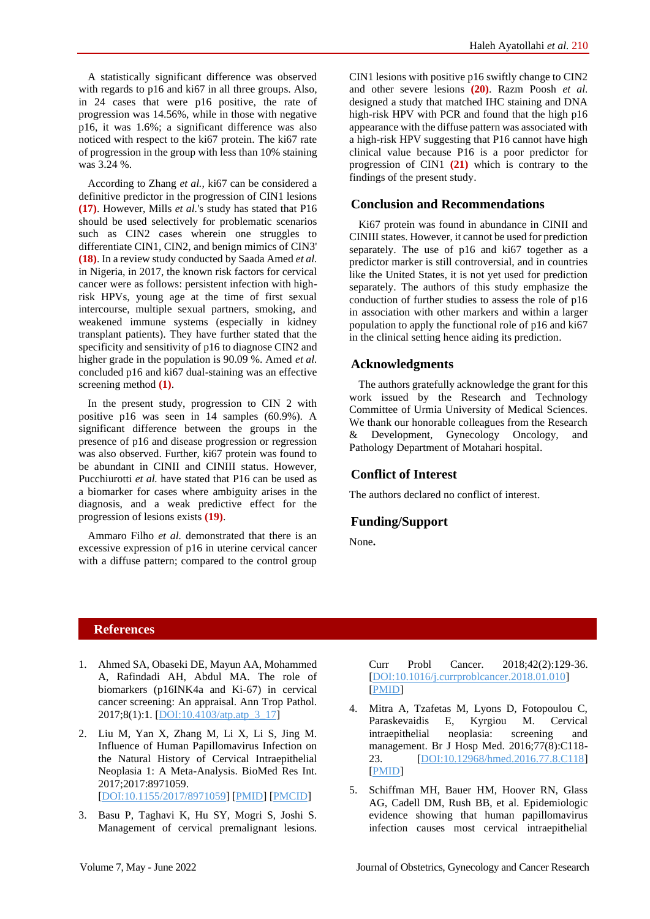A statistically significant difference was observed with regards to p16 and ki67 in all three groups. Also, in 24 cases that were p16 positive, the rate of progression was 14.56%, while in those with negative p16, it was 1.6%; a significant difference was also noticed with respect to the ki67 protein. The ki67 rate of progression in the group with less than 10% staining was 3.24 %.

According to Zhang *et al.,* ki67 can be considered a definitive predictor in the progression of CIN1 lesions **(17)**. However, Mills *et al.*'s study has stated that P16 should be used selectively for problematic scenarios such as CIN2 cases wherein one struggles to differentiate CIN1, CIN2, and benign mimics of CIN3' **(18)**. In a review study conducted by Saada Amed *et al.* in Nigeria, in 2017, the known risk factors for cervical cancer were as follows: persistent infection with highrisk HPVs, young age at the time of first sexual intercourse, multiple sexual partners, smoking, and weakened immune systems (especially in kidney transplant patients). They have further stated that the specificity and sensitivity of p16 to diagnose CIN2 and higher grade in the population is 90.09 %. Amed *et al.* concluded p16 and ki67 dual-staining was an effective screening method **(1)**.

In the present study, progression to CIN 2 with positive p16 was seen in 14 samples (60.9%). A significant difference between the groups in the presence of p16 and disease progression or regression was also observed. Further, ki67 protein was found to be abundant in CINII and CINIII status. However, Pucchiurotti *et al.* have stated that P16 can be used as a biomarker for cases where ambiguity arises in the diagnosis, and a weak predictive effect for the progression of lesions exists **(19)**.

Ammaro Filho *et al.* demonstrated that there is an excessive expression of p16 in uterine cervical cancer with a diffuse pattern; compared to the control group

CIN1 lesions with positive p16 swiftly change to CIN2 and other severe lesions **(20)**. Razm Poosh *et al.* designed a study that matched IHC staining and DNA high-risk HPV with PCR and found that the high p16 appearance with the diffuse pattern was associated with a high-risk HPV suggesting that P16 cannot have high clinical value because P16 is a poor predictor for progression of CIN1 **(21)** which is contrary to the findings of the present study.

## **Conclusion and Recommendations**

Ki67 protein was found in abundance in CINII and CINIII states. However, it cannot be used for prediction separately. The use of p16 and ki67 together as a predictor marker is still controversial, and in countries like the United States, it is not yet used for prediction separately. The authors of this study emphasize the conduction of further studies to assess the role of p16 in association with other markers and within a larger population to apply the functional role of p16 and ki67 in the clinical setting hence aiding its prediction.

## **Acknowledgments**

The authors gratefully acknowledge the grant for this work issued by the Research and Technology Committee of Urmia University of Medical Sciences. We thank our honorable colleagues from the Research & Development, Gynecology Oncology, and Pathology Department of Motahari hospital.

## **Conflict of Interest**

The authors declared no conflict of interest.

## **Funding/Support**

None**.**

## **References**

- 1. Ahmed SA, Obaseki DE, Mayun AA, Mohammed A, Rafindadi AH, Abdul MA. The role of biomarkers (p16INK4a and Ki-67) in cervical cancer screening: An appraisal. Ann Trop Pathol. 2017;8(1):1. [\[DOI:10.4103/atp.atp\\_3\\_17\]](https://doi.org/10.4103/atp.atp_3_17)
- 2. Liu M, Yan X, Zhang M, Li X, Li S, Jing M. Influence of Human Papillomavirus Infection on the Natural History of Cervical Intraepithelial Neoplasia 1: A Meta-Analysis. BioMed Res Int. 2017;2017:8971059. [\[DOI:10.1155/2017/8971059\]](https://doi.org/10.1155/2017/8971059) [\[PMID\]](https://www.ncbi.nlm.nih.gov/pubmed/28812024) [\[PMCID\]](http://www.ncbi.nlm.nih.gov/pmc/articles/PMC5546131)
- 3. Basu P, Taghavi K, Hu SY, Mogri S, Joshi S. Management of cervical premalignant lesions.

Curr Probl Cancer. 2018;42(2):129-36. [\[DOI:10.1016/j.currproblcancer.2018.01.010\]](https://doi.org/10.1016/j.currproblcancer.2018.01.010) [\[PMID\]](https://www.ncbi.nlm.nih.gov/pubmed/29428790)

- 4. Mitra A, Tzafetas M, Lyons D, Fotopoulou C, Paraskevaidis E, Kyrgiou M. Cervical intraepithelial neoplasia: screening and management. Br J Hosp Med. 2016;77(8):C118- 23. [\[DOI:10.12968/hmed.2016.77.8.C118\]](https://doi.org/10.12968/hmed.2016.77.8.C118) [\[PMID\]](https://www.ncbi.nlm.nih.gov/pubmed/27487071)
- 5. Schiffman MH, Bauer HM, Hoover RN, Glass AG, Cadell DM, Rush BB, et al. Epidemiologic evidence showing that human papillomavirus infection causes most cervical intraepithelial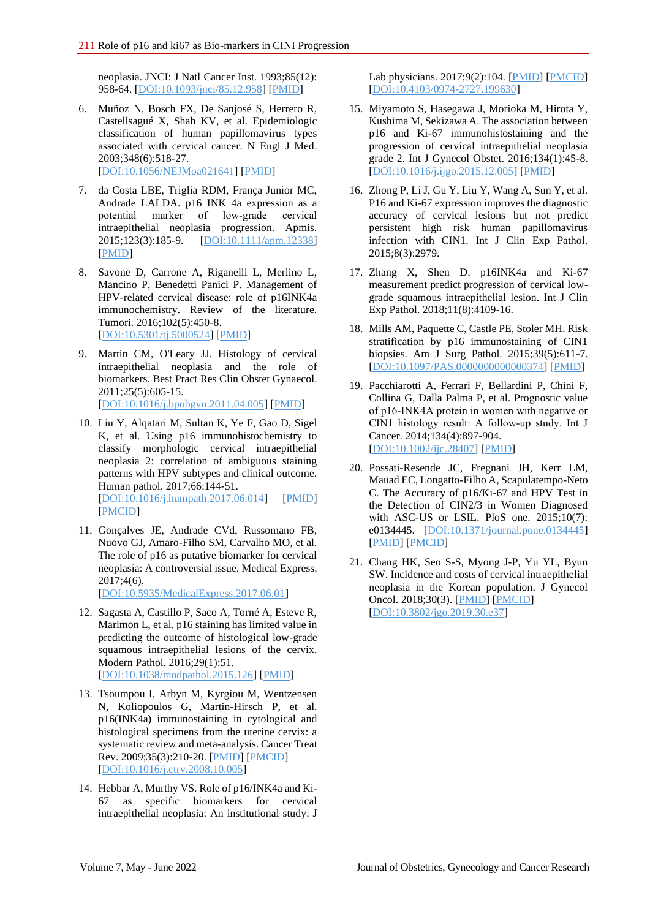neoplasia. JNCI: J Natl Cancer Inst. 1993;85(12): 958-64. [\[DOI:10.1093/jnci/85.12.958\]](https://doi.org/10.1093/jnci/85.12.958) [\[PMID\]](https://www.ncbi.nlm.nih.gov/pubmed/8388478)

- 6. Muñoz N, Bosch FX, De Sanjosé S, Herrero R, Castellsagué X, Shah KV, et al. Epidemiologic classification of human papillomavirus types associated with cervical cancer. N Engl J Med. 2003;348(6):518-27. [\[DOI:10.1056/NEJMoa021641\]](https://doi.org/10.1056/NEJMoa021641) [\[PMID\]](https://www.ncbi.nlm.nih.gov/pubmed/12571259)
- 7. da Costa LBE, Triglia RDM, França Junior MC, Andrade LALDA. p16 INK 4a expression as a potential marker of low‐grade cervical intraepithelial neoplasia progression. Apmis. 2015;123(3):185-9. [\[DOI:10.1111/apm.12338\]](https://doi.org/10.1111/apm.12338) [\[PMID\]](https://www.ncbi.nlm.nih.gov/pubmed/25471335)
- 8. Savone D, Carrone A, Riganelli L, Merlino L, Mancino P, Benedetti Panici P. Management of HPV-related cervical disease: role of p16INK4a immunochemistry. Review of the literature. Tumori. 2016;102(5):450-8. [\[DOI:10.5301/tj.5000524\]](https://doi.org/10.5301/tj.5000524) [\[PMID\]](https://www.ncbi.nlm.nih.gov/pubmed/27443891)
- 9. Martin CM, O'Leary JJ. Histology of cervical intraepithelial neoplasia and the role of biomarkers. Best Pract Res Clin Obstet Gynaecol. 2011;25(5):605-15. [\[DOI:10.1016/j.bpobgyn.2011.04.005\]](https://doi.org/10.1016/j.bpobgyn.2011.04.005) [\[PMID\]](https://www.ncbi.nlm.nih.gov/pubmed/21636328)
- 10. Liu Y, Alqatari M, Sultan K, Ye F, Gao D, Sigel K, et al. Using p16 immunohistochemistry to classify morphologic cervical intraepithelial neoplasia 2: correlation of ambiguous staining patterns with HPV subtypes and clinical outcome. Human pathol. 2017;66:144-51. [\[DOI:10.1016/j.humpath.2017.06.014\]](https://doi.org/10.1016/j.humpath.2017.06.014) [\[PMID\]](https://www.ncbi.nlm.nih.gov/pubmed/28705710) [\[PMCID\]](http://www.ncbi.nlm.nih.gov/pmc/articles/PMC5644341)
- 11. Gonçalves JE, Andrade CVd, Russomano FB, Nuovo GJ, Amaro-Filho SM, Carvalho MO, et al. The role of p16 as putative biomarker for cervical neoplasia: A controversial issue. Medical Express. 2017;4(6). [\[DOI:10.5935/MedicalExpress.2017.06.01\]](https://doi.org/10.5935/MedicalExpress.2017.06.01)
- 12. Sagasta A, Castillo P, Saco A, Torné A, Esteve R, Marimon L, et al. p16 staining has limited value in predicting the outcome of histological low-grade squamous intraepithelial lesions of the cervix. Modern Pathol. 2016;29(1):51. [\[DOI:10.1038/modpathol.2015.126\]](https://doi.org/10.1038/modpathol.2015.126) [\[PMID\]](https://www.ncbi.nlm.nih.gov/pubmed/26541274)
- 13. Tsoumpou I, Arbyn M, Kyrgiou M, Wentzensen N, Koliopoulos G, Martin-Hirsch P, et al. p16(INK4a) immunostaining in cytological and histological specimens from the uterine cervix: a systematic review and meta-analysis. Cancer Treat Rev. 2009;35(3):210-20. [\[PMID\]](https://www.ncbi.nlm.nih.gov/pubmed/19261387) [\[PMCID\]](http://www.ncbi.nlm.nih.gov/pmc/articles/PMC2784486) [\[DOI:10.1016/j.ctrv.2008.10.005\]](https://doi.org/10.1016/j.ctrv.2008.10.005)
- 14. Hebbar A, Murthy VS. Role of p16/INK4a and Ki-67 as specific biomarkers for cervical intraepithelial neoplasia: An institutional study. J

Lab physicians. 2017;9(2):104. [\[PMID\]](https://www.ncbi.nlm.nih.gov/pubmed/28367025) [\[PMCID\]](http://www.ncbi.nlm.nih.gov/pmc/articles/PMC5320872) [\[DOI:10.4103/0974-2727.199630\]](https://doi.org/10.4103/0974-2727.199630)

- 15. Miyamoto S, Hasegawa J, Morioka M, Hirota Y, Kushima M, Sekizawa A. The association between p16 and Ki-67 immunohistostaining and the progression of cervical intraepithelial neoplasia grade 2. Int J Gynecol Obstet. 2016;134(1):45-8. [\[DOI:10.1016/j.ijgo.2015.12.005\]](https://doi.org/10.1016/j.ijgo.2015.12.005) [\[PMID\]](https://www.ncbi.nlm.nih.gov/pubmed/27233813)
- 16. Zhong P, Li J, Gu Y, Liu Y, Wang A, Sun Y, et al. P16 and Ki-67 expression improves the diagnostic accuracy of cervical lesions but not predict persistent high risk human papillomavirus infection with CIN1. Int J Clin Exp Pathol. 2015;8(3):2979.
- 17. Zhang X, Shen D. p16INK4a and Ki-67 measurement predict progression of cervical lowgrade squamous intraepithelial lesion. Int J Clin Exp Pathol. 2018;11(8):4109-16.
- 18. Mills AM, Paquette C, Castle PE, Stoler MH. Risk stratification by p16 immunostaining of CIN1 biopsies. Am J Surg Pathol. 2015;39(5):611-7. [\[DOI:10.1097/PAS.0000000000000374\]](https://doi.org/10.1097/PAS.0000000000000374) [\[PMID\]](https://www.ncbi.nlm.nih.gov/pubmed/25602791)
- 19. Pacchiarotti A, Ferrari F, Bellardini P, Chini F, Collina G, Dalla Palma P, et al. Prognostic value of p16‐INK4A protein in women with negative or CIN1 histology result: A follow‐up study. Int J Cancer. 2014;134(4):897-904. [\[DOI:10.1002/ijc.28407\]](https://doi.org/10.1002/ijc.28407) [\[PMID\]](https://www.ncbi.nlm.nih.gov/pubmed/23913416)
- 20. Possati-Resende JC, Fregnani JH, Kerr LM, Mauad EC, Longatto-Filho A, Scapulatempo-Neto C. The Accuracy of p16/Ki-67 and HPV Test in the Detection of CIN2/3 in Women Diagnosed with ASC-US or LSIL. PloS one. 2015;10(7): e0134445. [\[DOI:10.1371/journal.pone.0134445\]](https://doi.org/10.1371/journal.pone.0134445) [\[PMID\]](https://www.ncbi.nlm.nih.gov/pubmed/26230097) [\[PMCID\]](http://www.ncbi.nlm.nih.gov/pmc/articles/PMC4521700)
- 21. Chang HK, Seo S-S, Myong J-P, Yu YL, Byun SW. Incidence and costs of cervical intraepithelial neoplasia in the Korean population. J Gynecol Oncol. 2018;30(3). [\[PMID\]](https://www.ncbi.nlm.nih.gov/pubmed/30887758) [\[PMCID\]](http://www.ncbi.nlm.nih.gov/pmc/articles/PMC6424851) [\[DOI:10.3802/jgo.2019.30.e37\]](https://doi.org/10.3802/jgo.2019.30.e37)